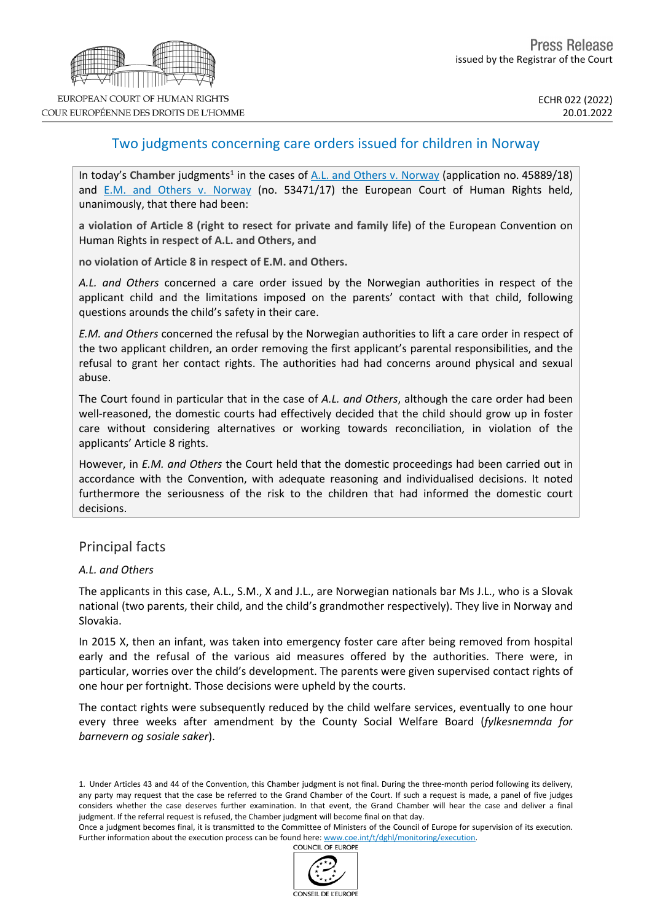

# Two judgments concerning care orders issued for children in Norway

In today's Chamber judgments<sup>1</sup> in the cases of A.L. and Others v. [Norway](https://hudoc.echr.coe.int/eng?i=001-215177) (application no. 45889/18) and E.M. and Others v. [Norway](https://hudoc.echr.coe.int/eng?i=001-215176) (no. 53471/17) the European Court of Human Rights held, unanimously, that there had been:

**a violation of Article 8 (right to resect for private and family life)** of the European Convention on Human Rights **in respect of A.L. and Others, and**

**no violation of Article 8 in respect of E.M. and Others.**

*A.L. and Others* concerned a care order issued by the Norwegian authorities in respect of the applicant child and the limitations imposed on the parents' contact with that child, following questions arounds the child's safety in their care.

*E.M. and Others* concerned the refusal by the Norwegian authorities to lift a care order in respect of the two applicant children, an order removing the first applicant's parental responsibilities, and the refusal to grant her contact rights. The authorities had had concerns around physical and sexual abuse.

The Court found in particular that in the case of *A.L. and Others*, although the care order had been well-reasoned, the domestic courts had effectively decided that the child should grow up in foster care without considering alternatives or working towards reconciliation, in violation of the applicants' Article 8 rights.

However, in *E.M. and Others* the Court held that the domestic proceedings had been carried out in accordance with the Convention, with adequate reasoning and individualised decisions. It noted furthermore the seriousness of the risk to the children that had informed the domestic court decisions.

## Principal facts

### *A.L. and Others*

The applicants in this case, A.L., S.M., X and J.L., are Norwegian nationals bar Ms J.L., who is a Slovak national (two parents, their child, and the child's grandmother respectively). They live in Norway and Slovakia.

In 2015 X, then an infant, was taken into emergency foster care after being removed from hospital early and the refusal of the various aid measures offered by the authorities. There were, in particular, worries over the child's development. The parents were given supervised contact rights of one hour per fortnight. Those decisions were upheld by the courts.

The contact rights were subsequently reduced by the child welfare services, eventually to one hour every three weeks after amendment by the County Social Welfare Board (*fylkesnemnda for barnevern og sosiale saker*).

Once a judgment becomes final, it is transmitted to the Committee of Ministers of the Council of Europe for supervision of its execution. Further information about the execution process can be found here: [www.coe.int/t/dghl/monitoring/execution](http://www.coe.int/t/dghl/monitoring/execution). **COUNCIL OF EUROPE** 



<sup>1.</sup> Under Articles 43 and 44 of the Convention, this Chamber judgment is not final. During the three-month period following its delivery, any party may request that the case be referred to the Grand Chamber of the Court. If such a request is made, a panel of five judges considers whether the case deserves further examination. In that event, the Grand Chamber will hear the case and deliver a final judgment. If the referral request is refused, the Chamber judgment will become final on that day.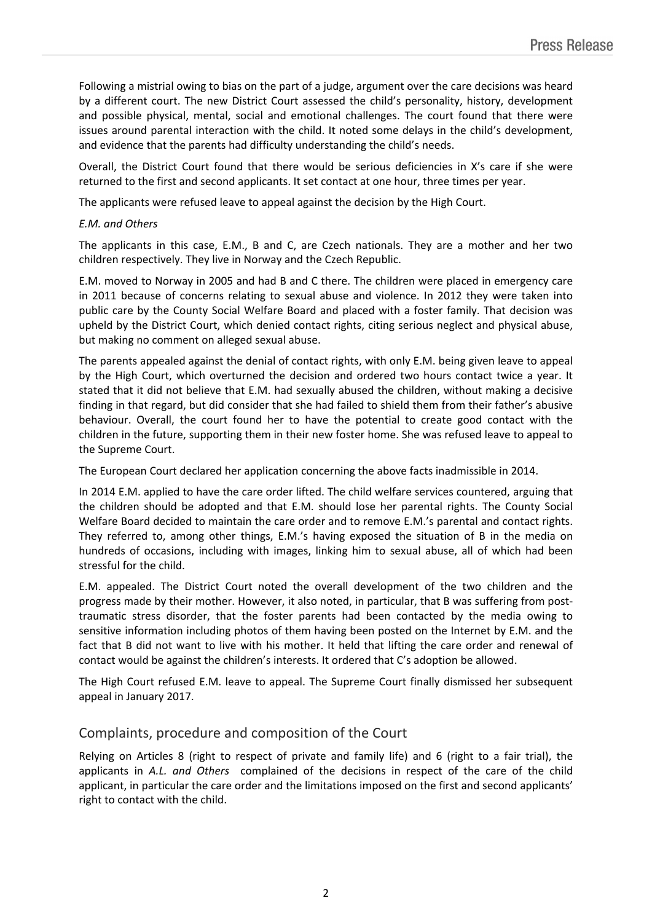Following a mistrial owing to bias on the part of a judge, argument over the care decisions was heard by a different court. The new District Court assessed the child's personality, history, development and possible physical, mental, social and emotional challenges. The court found that there were issues around parental interaction with the child. It noted some delays in the child's development, and evidence that the parents had difficulty understanding the child's needs.

Overall, the District Court found that there would be serious deficiencies in X's care if she were returned to the first and second applicants. It set contact at one hour, three times per year.

The applicants were refused leave to appeal against the decision by the High Court.

### *E.M. and Others*

The applicants in this case, E.M., B and C, are Czech nationals. They are a mother and her two children respectively. They live in Norway and the Czech Republic.

E.M. moved to Norway in 2005 and had B and C there. The children were placed in emergency care in 2011 because of concerns relating to sexual abuse and violence. In 2012 they were taken into public care by the County Social Welfare Board and placed with a foster family. That decision was upheld by the District Court, which denied contact rights, citing serious neglect and physical abuse, but making no comment on alleged sexual abuse.

The parents appealed against the denial of contact rights, with only E.M. being given leave to appeal by the High Court, which overturned the decision and ordered two hours contact twice a year. It stated that it did not believe that E.M. had sexually abused the children, without making a decisive finding in that regard, but did consider that she had failed to shield them from their father's abusive behaviour. Overall, the court found her to have the potential to create good contact with the children in the future, supporting them in their new foster home. She was refused leave to appeal to the Supreme Court.

The European Court declared her application concerning the above facts inadmissible in 2014.

In 2014 E.M. applied to have the care order lifted. The child welfare services countered, arguing that the children should be adopted and that E.M. should lose her parental rights. The County Social Welfare Board decided to maintain the care order and to remove E.M.'s parental and contact rights. They referred to, among other things, E.M.'s having exposed the situation of B in the media on hundreds of occasions, including with images, linking him to sexual abuse, all of which had been stressful for the child.

E.M. appealed. The District Court noted the overall development of the two children and the progress made by their mother. However, it also noted, in particular, that B was suffering from posttraumatic stress disorder, that the foster parents had been contacted by the media owing to sensitive information including photos of them having been posted on the Internet by E.M. and the fact that B did not want to live with his mother. It held that lifting the care order and renewal of contact would be against the children's interests. It ordered that C's adoption be allowed.

The High Court refused E.M. leave to appeal. The Supreme Court finally dismissed her subsequent appeal in January 2017.

## Complaints, procedure and composition of the Court

Relying on Articles 8 (right to respect of private and family life) and 6 (right to a fair trial), the applicants in *A.L. and Others* complained of the decisions in respect of the care of the child applicant, in particular the care order and the limitations imposed on the first and second applicants' right to contact with the child.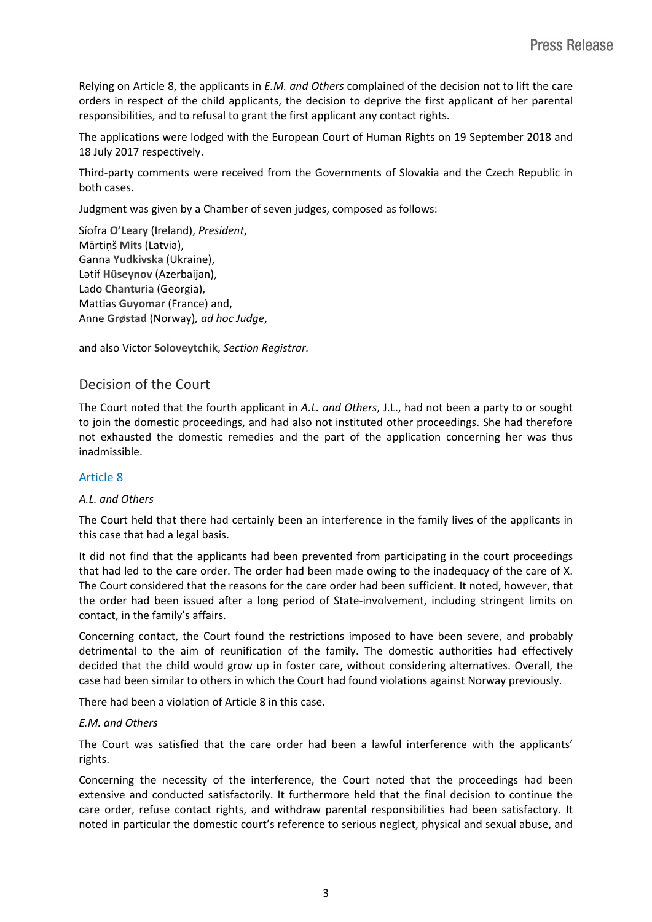Relying on Article 8, the applicants in *E.M. and Others* complained of the decision not to lift the care orders in respect of the child applicants, the decision to deprive the first applicant of her parental responsibilities, and to refusal to grant the first applicant any contact rights.

The applications were lodged with the European Court of Human Rights on 19 September 2018 and 18 July 2017 respectively.

Third-party comments were received from the Governments of Slovakia and the Czech Republic in both cases.

Judgment was given by a Chamber of seven judges, composed as follows:

Síofra **O'Leary** (Ireland), *President*, Mārtiņš **Mits** (Latvia), Ganna **Yudkivska** (Ukraine), Lətif **Hüseynov** (Azerbaijan), Lado **Chanturia** (Georgia), Mattias **Guyomar** (France) and, Anne **Grøstad** (Norway)*, ad hoc Judge*,

and also Victor **Soloveytchik**, *Section Registrar.*

## Decision of the Court

The Court noted that the fourth applicant in *A.L. and Others*, J.L., had not been a party to or sought to join the domestic proceedings, and had also not instituted other proceedings. She had therefore not exhausted the domestic remedies and the part of the application concerning her was thus inadmissible.

### Article 8

### *A.L. and Others*

The Court held that there had certainly been an interference in the family lives of the applicants in this case that had a legal basis.

It did not find that the applicants had been prevented from participating in the court proceedings that had led to the care order. The order had been made owing to the inadequacy of the care of X. The Court considered that the reasons for the care order had been sufficient. It noted, however, that the order had been issued after a long period of State-involvement, including stringent limits on contact, in the family's affairs.

Concerning contact, the Court found the restrictions imposed to have been severe, and probably detrimental to the aim of reunification of the family. The domestic authorities had effectively decided that the child would grow up in foster care, without considering alternatives. Overall, the case had been similar to others in which the Court had found violations against Norway previously.

There had been a violation of Article 8 in this case.

### *E.M. and Others*

The Court was satisfied that the care order had been a lawful interference with the applicants' rights.

Concerning the necessity of the interference, the Court noted that the proceedings had been extensive and conducted satisfactorily. It furthermore held that the final decision to continue the care order, refuse contact rights, and withdraw parental responsibilities had been satisfactory. It noted in particular the domestic court's reference to serious neglect, physical and sexual abuse, and